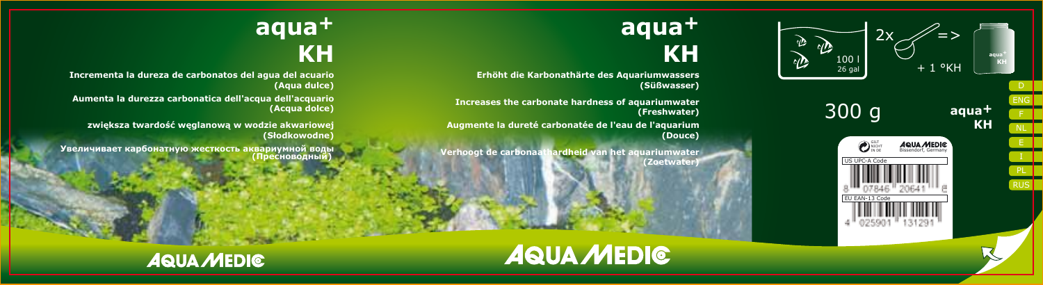

## **aqua + KH**

**Erhöht die Karbonathärte des Aquariumwassers (Süßwasser)**

**Increases the carbonate hardness of aquariumwater (Freshwater)**

**Augmente la dureté carbonatée de l'eau de l'aquarium (Douce)**

**Verhoogt de carbonaathardheid van het aquariumwater (Zoetwater)**

# **aqua +**

## **KH**

**Incrementa la dureza de carbonatos del agua del acuario (Aqua dulce)**

**Aumenta la durezza carbonatica dell'acqua dell'acquario (Acqua dolce)**

**zwiększa twardość węglanową w wodzie akwariowej (Słodkowodne)**

**Увеличивает карбонатную жесткость аквариумной воды (Пресноводный)**



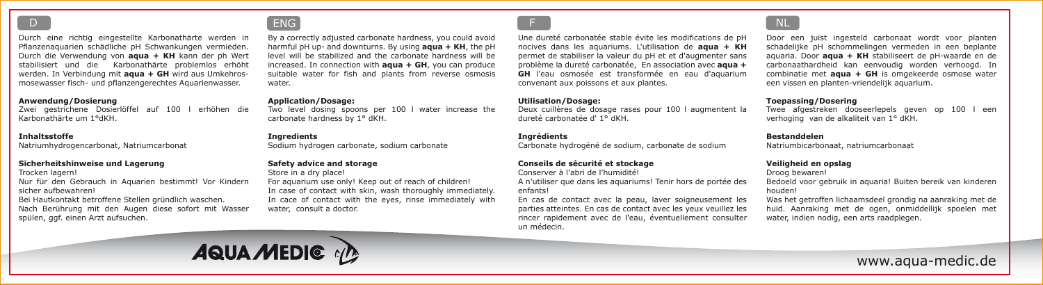Durch eine richtig eingestellte Karbonathärte werden in Pflanzenaquarien schädliche pH Schwankungen vermieden. Durch die Verwendung von **aqua + KH** kann der ph Wert stabilisiert und die Karbonathärte problemlos erhöht werden. In Verbindung mit **aqua + GH** wird aus Umkehrosmosewasser fisch- und pflanzengerechtes Aquarienwasser.

#### **Anwendung/Dosierung**

Zwei gestrichene Dosierlöffel auf 100 l erhöhen die Karbonathärte um 1°dKH.

#### **Inhaltsstoffe**

Natriumhydrogencarbonat, Natriumcarbonat

#### **Sicherheitshinweise und Lagerung**

Trocken lagern!

Nur für den Gebrauch in Aquarien bestimmt! Vor Kindern sicher aufbewahren!

Bei Hautkontakt betroffene Stellen gründlich waschen. Nach Berührung mit den Augen diese sofort mit Wasser spülen, ggf. einen Arzt aufsuchen.

## D D ENG F NL ENG AND THE RESEARCH OF THE RESEARCH OF THE RESEARCH OF THE RESEARCH OF THE RESEARCH OF THE RESEARCH OF THE RESEARCH OF THE RESEARCH OF THE RESEARCH OF THE RESEARCH OF THE RESEARCH OF THE RESEARCH OF THE RESEA

By a correctly adjusted carbonate hardness, you could avoid harmful pH up- and downturns. By using **aqua + KH**, the pH level will be stabilized and the carbonate hardness will be increased. In connection with **aqua + GH**, you can produce suitable water for fish and plants from reverse osmosis water.

#### **Application/Dosage:**

Two level dosing spoons per 100 l water increase the carbonate hardness by 1° dKH.

#### **Ingredients**

Sodium hydrogen carbonate, sodium carbonate

#### **Safety advice and storage**

Store in a dry place!

For aquarium use only! Keep out of reach of children! In case of contact with skin, wash thoroughly immediately.

In cace of contact with the eyes, rinse immediately with water, consult a doctor.

Une dureté carbonatée stable évite les modifications de pH nocives dans les aquariums. L'utilisation de **aqua + KH** permet de stabiliser la valeur du pH et et d'augmenter sans problème la dureté carbonatée, En association avec **aqua + GH** l'eau osmosée est transformée en eau d'aquarium convenant aux poissons et aux plantes.

#### **Utilisation/Dosage:**

Deux cuillères de dosage rases pour 100 l augmentent la dureté carbonatée d' 1° dKH.

#### **Ingrédients**

Carbonate hydrogéné de sodium, carbonate de sodium

#### **Conseils de sécurité et stockage**

Conserver à l'abri de l'humidité!

A n'utiliser que dans les aquariums! Tenir hors de portée des enfants!

En cas de contact avec la peau, laver soigneusement les parties atteintes. En cas de contact avec les yeux veuillez les rincer rapidement avec de l'eau, éventuellement consulter un médecin.



Door een juist ingesteld carbonaat wordt voor planten schadelijke pH schommelingen vermeden in een beplante aquaria. Door **aqua + KH** stabiliseert de pH-waarde en de carbonaathardheid kan eenvoudig worden verhoogd. In combinatie met **aqua + GH** is omgekeerde osmose water een vissen en planten-vriendelijk aquarium.

#### **Toepassing/Dosering**

Twee afgestreken dooseerlepels geven op 100 l een verhoging van de alkaliteit van 1° dKH.

#### **Bestanddelen**

Natriumbicarbonaat, natriumcarbonaat

#### **Veiligheid en opslag**

Droog bewaren!

Bedoeld voor gebruik in aquaria! Buiten bereik van kinderen houden!

Was het getroffen lichaamsdeel grondig na aanraking met de huid. Aanraking met de ogen, onmiddellijk spoelen met water, indien nodig, een arts raadplegen.



www.aqua-medic.de